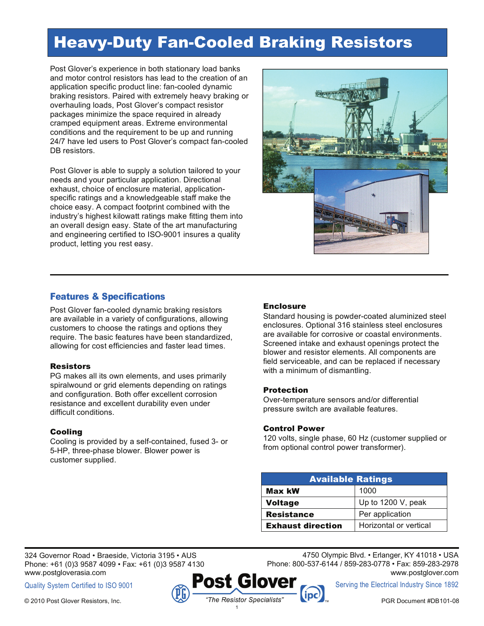# Heavy-Duty Fan-Cooled Braking Resistors

Post Glover's experience in both stationary load banks and motor control resistors has lead to the creation of an application specific product line: fan-cooled dynamic braking resistors. Paired with extremely heavy braking or overhauling loads, Post Glover's compact resistor packages minimize the space required in already cramped equipment areas. Extreme environmental conditions and the requirement to be up and running 24/7 have led users to Post Glover's compact fan-cooled DB resistors.

Post Glover is able to supply a solution tailored to your needs and your particular application. Directional exhaust, choice of enclosure material, applicationspecific ratings and a knowledgeable staff make the choice easy. A compact footprint combined with the industry's highest kilowatt ratings make fitting them into an overall design easy. State of the art manufacturing and engineering certified to ISO-9001 insures a quality product, letting you rest easy.



## Features & Specifications

Post Glover fan-cooled dynamic braking resistors are available in a variety of configurations, allowing customers to choose the ratings and options they require. The basic features have been standardized, allowing for cost efficiencies and faster lead times.

#### **Resistors**

PG makes all its own elements, and uses primarily spiralwound or grid elements depending on ratings and configuration. Both offer excellent corrosion resistance and excellent durability even under difficult conditions.

### Cooling

Cooling is provided by a self-contained, fused 3- or 5-HP, three-phase blower. Blower power is customer supplied.

### Enclosure

Standard housing is powder-coated aluminized steel enclosures. Optional 316 stainless steel enclosures are available for corrosive or coastal environments. Screened intake and exhaust openings protect the blower and resistor elements. All components are field serviceable, and can be replaced if necessary with a minimum of dismantling.

#### Protection

Over-temperature sensors and/or differential pressure switch are available features.

#### Control Power

120 volts, single phase, 60 Hz (customer supplied or from optional control power transformer).

| <b>Available Ratings</b> |                        |  |
|--------------------------|------------------------|--|
| Max kW                   | 1000                   |  |
| <b>Voltage</b>           | Up to 1200 V, peak     |  |
| <b>Resistance</b>        | Per application        |  |
| <b>Exhaust direction</b> | Horizontal or vertical |  |

324 Governor Road • Braeside, Victoria 3195 • AUS Phone: +61 (0)3 9587 4099 • Fax: +61 (0)3 9587 4130 www.postgloverasia.com

Quality System Certified to ISO 9001



4750 Olympic Blvd. • Erlanger, KY 41018 • USA

Phone: 800-537-6144 / 859-283-0778 • Fax: 859-283-2978